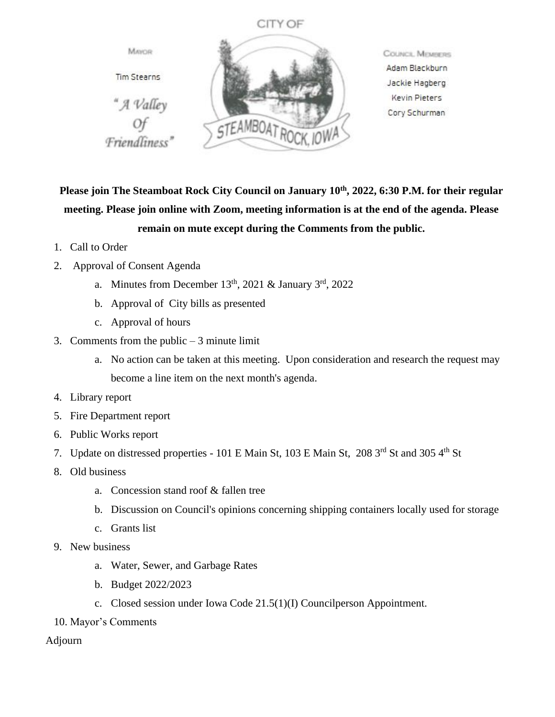



**COUNCIL MEMBERS** Adam Blackburn Jackie Hagberg Kevin Pieters Cory Schurman

**Please join The Steamboat Rock City Council on January 10th, 2022, 6:30 P.M. for their regular meeting. Please join online with Zoom, meeting information is at the end of the agenda. Please remain on mute except during the Comments from the public.**

- 1. Call to Order
- 2. Approval of Consent Agenda
	- a. Minutes from December  $13<sup>th</sup>$ , 2021 & January  $3<sup>rd</sup>$ , 2022
	- b. Approval of City bills as presented
	- c. Approval of hours
- 3. Comments from the public  $-3$  minute limit
	- a. No action can be taken at this meeting. Upon consideration and research the request may become a line item on the next month's agenda.
- 4. Library report
- 5. Fire Department report
- 6. Public Works report
- 7. Update on distressed properties 101 E Main St, 103 E Main St, 208 3rd St and 305 4th St
- 8. Old business
	- a. Concession stand roof & fallen tree
	- b. Discussion on Council's opinions concerning shipping containers locally used for storage
	- c. Grants list
- 9. New business
	- a. Water, Sewer, and Garbage Rates
	- b. Budget 2022/2023
	- c. Closed session under Iowa Code 21.5(1)(I) Councilperson Appointment.
- 10. Mayor's Comments

## Adjourn